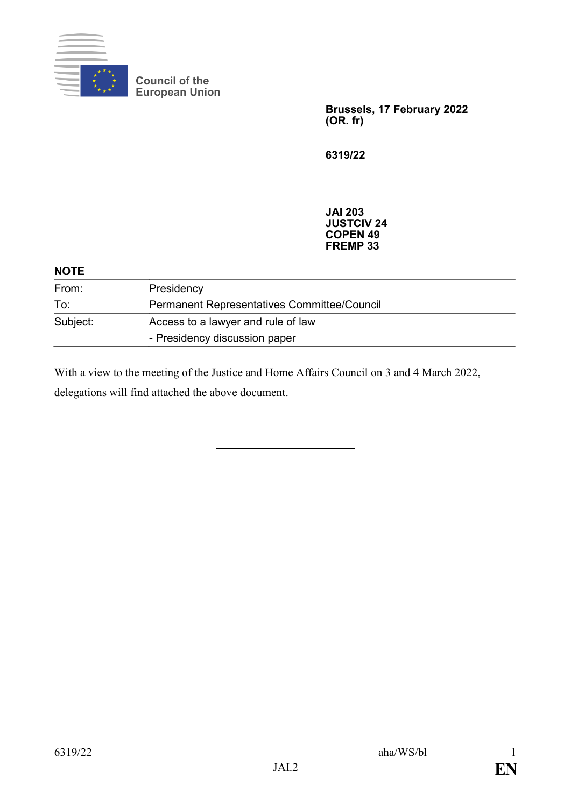

**Council of the European Union**

> **Brussels, 17 February 2022 (OR. fr)**

**6319/22**

**JAI 203 JUSTCIV 24 COPEN 49 FREMP 33**

| <b>NOTE</b> |                                             |
|-------------|---------------------------------------------|
| From:       | Presidency                                  |
| To:         | Permanent Representatives Committee/Council |
| Subject:    | Access to a lawyer and rule of law          |
|             | - Presidency discussion paper               |

With a view to the meeting of the Justice and Home Affairs Council on 3 and 4 March 2022, delegations will find attached the above document.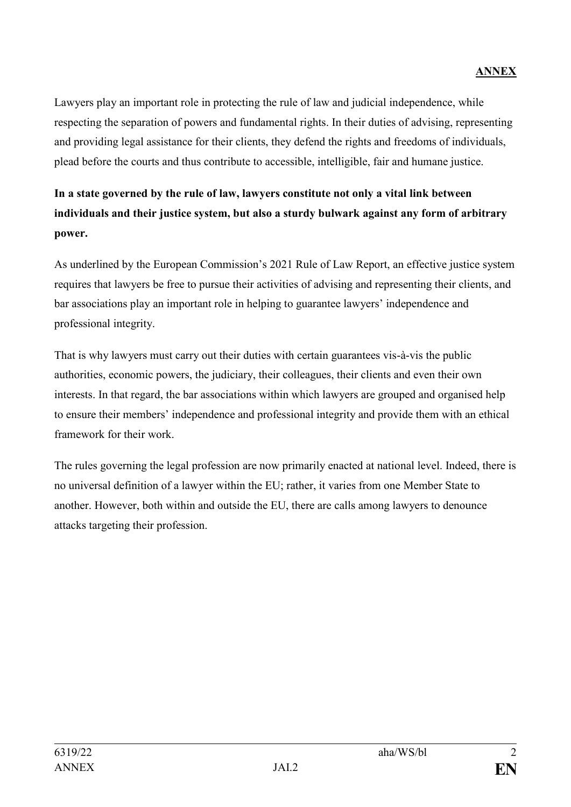Lawyers play an important role in protecting the rule of law and judicial independence, while respecting the separation of powers and fundamental rights. In their duties of advising, representing and providing legal assistance for their clients, they defend the rights and freedoms of individuals, plead before the courts and thus contribute to accessible, intelligible, fair and humane justice.

## **In a state governed by the rule of law, lawyers constitute not only a vital link between individuals and their justice system, but also a sturdy bulwark against any form of arbitrary power.**

As underlined by the European Commission's 2021 Rule of Law Report, an effective justice system requires that lawyers be free to pursue their activities of advising and representing their clients, and bar associations play an important role in helping to guarantee lawyers' independence and professional integrity.

That is why lawyers must carry out their duties with certain guarantees vis-à-vis the public authorities, economic powers, the judiciary, their colleagues, their clients and even their own interests. In that regard, the bar associations within which lawyers are grouped and organised help to ensure their members' independence and professional integrity and provide them with an ethical framework for their work.

The rules governing the legal profession are now primarily enacted at national level. Indeed, there is no universal definition of a lawyer within the EU; rather, it varies from one Member State to another. However, both within and outside the EU, there are calls among lawyers to denounce attacks targeting their profession.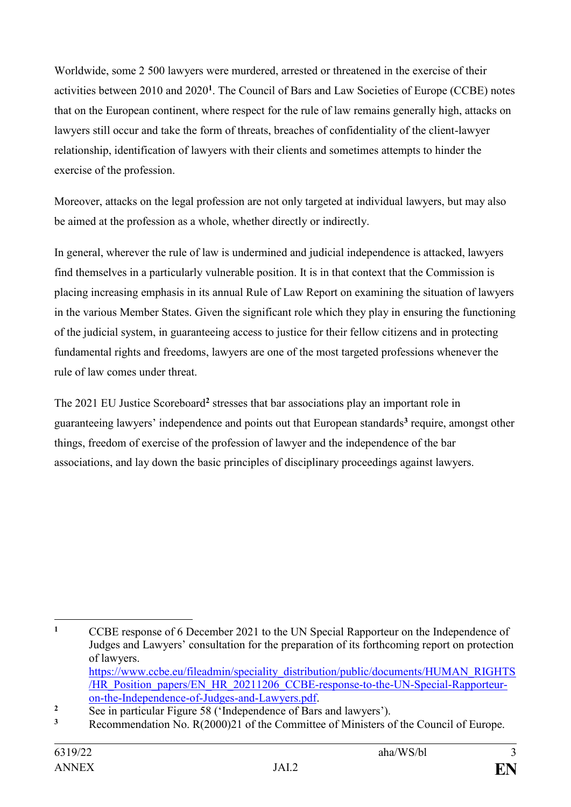Worldwide, some 2 500 lawyers were murdered, arrested or threatened in the exercise of their activities between 2010 and 2020**<sup>1</sup>** . The Council of Bars and Law Societies of Europe (CCBE) notes that on the European continent, where respect for the rule of law remains generally high, attacks on lawyers still occur and take the form of threats, breaches of confidentiality of the client-lawyer relationship, identification of lawyers with their clients and sometimes attempts to hinder the exercise of the profession.

Moreover, attacks on the legal profession are not only targeted at individual lawyers, but may also be aimed at the profession as a whole, whether directly or indirectly.

In general, wherever the rule of law is undermined and judicial independence is attacked, lawyers find themselves in a particularly vulnerable position. It is in that context that the Commission is placing increasing emphasis in its annual Rule of Law Report on examining the situation of lawyers in the various Member States. Given the significant role which they play in ensuring the functioning of the judicial system, in guaranteeing access to justice for their fellow citizens and in protecting fundamental rights and freedoms, lawyers are one of the most targeted professions whenever the rule of law comes under threat.

The 2021 EU Justice Scoreboard**<sup>2</sup>** stresses that bar associations play an important role in guaranteeing lawyers' independence and points out that European standards**<sup>3</sup>** require, amongst other things, freedom of exercise of the profession of lawyer and the independence of the bar associations, and lay down the basic principles of disciplinary proceedings against lawyers.

 $\mathbf{1}$ **<sup>1</sup>** CCBE response of 6 December 2021 to the UN Special Rapporteur on the Independence of Judges and Lawyers' consultation for the preparation of its forthcoming report on protection of lawyers. [https://www.ccbe.eu/fileadmin/speciality\\_distribution/public/documents/HUMAN\\_RIGHTS](https://www.ccbe.eu/fileadmin/speciality_distribution/public/documents/HUMAN_RIGHTS/HR_Position_papers/EN_HR_20211206_CCBE-response-to-the-UN-Special-Rapporteur-on-the-Independence-of-Judges-and-Lawyers.pdf)

[<sup>/</sup>HR\\_Position\\_papers/EN\\_HR\\_20211206\\_CCBE-response-to-the-UN-Special-Rapporteur](https://www.ccbe.eu/fileadmin/speciality_distribution/public/documents/HUMAN_RIGHTS/HR_Position_papers/EN_HR_20211206_CCBE-response-to-the-UN-Special-Rapporteur-on-the-Independence-of-Judges-and-Lawyers.pdf)[on-the-Independence-of-Judges-and-Lawyers.pdf.](https://www.ccbe.eu/fileadmin/speciality_distribution/public/documents/HUMAN_RIGHTS/HR_Position_papers/EN_HR_20211206_CCBE-response-to-the-UN-Special-Rapporteur-on-the-Independence-of-Judges-and-Lawyers.pdf)

<sup>&</sup>lt;sup>2</sup> See in particular Figure 58 ('Independence of Bars and lawyers').

**<sup>3</sup>** Recommendation No. R(2000)21 of the Committee of Ministers of the Council of Europe.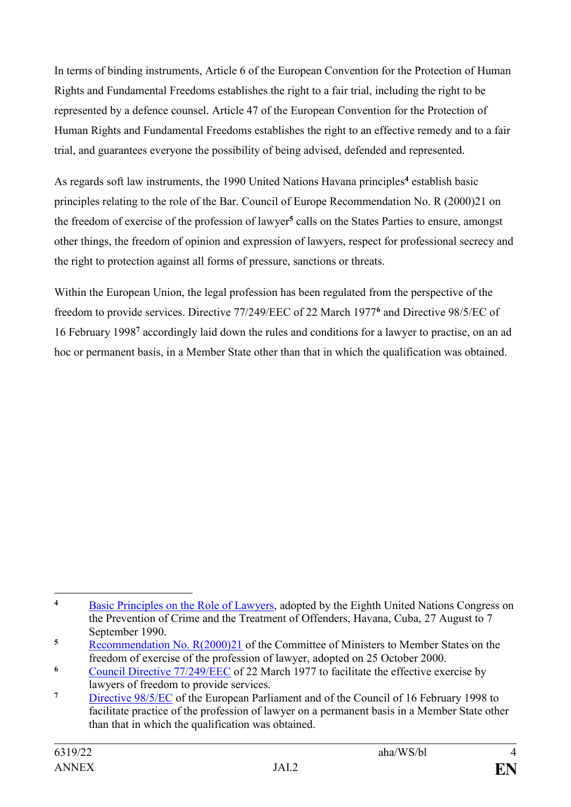In terms of binding instruments, Article 6 of the European Convention for the Protection of Human Rights and Fundamental Freedoms establishes the right to a fair trial, including the right to be represented by a defence counsel. Article 47 of the European Convention for the Protection of Human Rights and Fundamental Freedoms establishes the right to an effective remedy and to a fair trial, and guarantees everyone the possibility of being advised, defended and represented.

As regards soft law instruments, the 1990 United Nations Havana principles**<sup>4</sup>** establish basic principles relating to the role of the Bar. Council of Europe Recommendation No. R (2000)21 on the freedom of exercise of the profession of lawyer**<sup>5</sup>** calls on the States Parties to ensure, amongst other things, the freedom of opinion and expression of lawyers, respect for professional secrecy and the right to protection against all forms of pressure, sanctions or threats.

Within the European Union, the legal profession has been regulated from the perspective of the freedom to provide services. Directive 77/249/EEC of 22 March 1977**<sup>6</sup>** and Directive 98/5/EC of 16 February 1998**<sup>7</sup>** accordingly laid down the rules and conditions for a lawyer to practise, on an ad hoc or permanent basis, in a Member State other than that in which the qualification was obtained.

 $\overline{4}$ **<sup>4</sup>** [Basic Principles on the Role of Lawyers,](https://www.ohchr.org/EN/ProfessionalInterest/Pages/RoleOfLawyers.aspx) adopted by the Eighth United Nations Congress on the Prevention of Crime and the Treatment of Offenders, Havana, Cuba, 27 August to 7 September 1990.

**<sup>5</sup>** [Recommendation No. R\(2000\)21](https://search.coe.int/cm/Pages/result_details.aspx?ObjectId=09000016804d0fc8) of the Committee of Ministers to Member States on the freedom of exercise of the profession of lawyer, adopted on 25 October 2000.

<sup>&</sup>lt;sup>6</sup> [Council Directive 77/249/EEC](https://eur-lex.europa.eu/legal-content/EN/TXT/HTML/?uri=CELEX:31977L0249) of 22 March 1977 to facilitate the effective exercise by lawyers of freedom to provide services.

**<sup>7</sup>** [Directive 98/5/EC](https://eur-lex.europa.eu/legal-content/EN/TXT/PDF/?uri=CELEX:31998L0005) of the European Parliament and of the Council of 16 February 1998 to facilitate practice of the profession of lawyer on a permanent basis in a Member State other than that in which the qualification was obtained.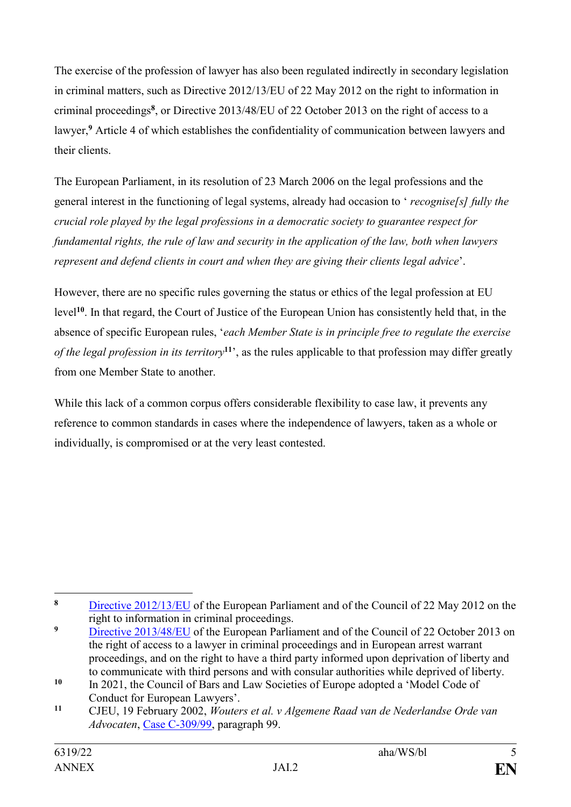The exercise of the profession of lawyer has also been regulated indirectly in secondary legislation in criminal matters, such as Directive 2012/13/EU of 22 May 2012 on the right to information in criminal proceedings**<sup>8</sup>** , or Directive 2013/48/EU of 22 October 2013 on the right of access to a lawyer,**<sup>9</sup>** Article 4 of which establishes the confidentiality of communication between lawyers and their clients.

The European Parliament, in its resolution of 23 March 2006 on the legal professions and the general interest in the functioning of legal systems, already had occasion to ' *recognise[s] fully the crucial role played by the legal professions in a democratic society to guarantee respect for fundamental rights, the rule of law and security in the application of the law, both when lawyers represent and defend clients in court and when they are giving their clients legal advice*'.

However, there are no specific rules governing the status or ethics of the legal profession at EU level**<sup>10</sup>**. In that regard, the Court of Justice of the European Union has consistently held that, in the absence of specific European rules, '*each Member State is in principle free to regulate the exercise of the legal profession in its territory***<sup>11</sup>**', as the rules applicable to that profession may differ greatly from one Member State to another.

While this lack of a common corpus offers considerable flexibility to case law, it prevents any reference to common standards in cases where the independence of lawyers, taken as a whole or individually, is compromised or at the very least contested.

 $\bf{8}$ **<sup>8</sup>** [Directive 2012/13/EU](https://eur-lex.europa.eu/LexUriServ/LexUriServ.do?uri=OJ:L:2012:142:0001:0010:en:PDF) of the European Parliament and of the Council of 22 May 2012 on the right to information in criminal proceedings.

<sup>&</sup>lt;sup>9</sup> [Directive 2013/48/EU](https://eur-lex.europa.eu/LexUriServ/LexUriServ.do?uri=OJ:L:2013:294:0001:0012:EN:PDF) of the European Parliament and of the Council of 22 October 2013 on the right of access to a lawyer in criminal proceedings and in European arrest warrant proceedings, and on the right to have a third party informed upon deprivation of liberty and to communicate with third persons and with consular authorities while deprived of liberty.

**<sup>10</sup>** In 2021, the Council of Bars and Law Societies of Europe adopted a 'Model Code of Conduct for European Lawyers'.

**<sup>11</sup>** CJEU, 19 February 2002, *Wouters et al. v Algemene Raad van de Nederlandse Orde van Advocaten*, [Case C-309/99,](https://eur-lex.europa.eu/legal-content/en/TXT/?uri=CELEX:61999CJ0309) paragraph 99.